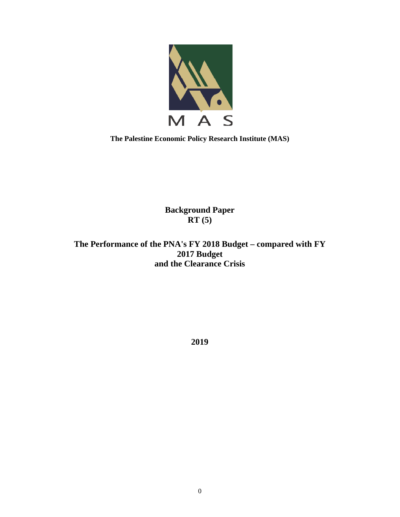

**The Palestine Economic Policy Research Institute (MAS)** 

**Background Paper RT (5)** 

**The Performance of the PNA's FY 2018 Budget – compared with FY 2017 Budget and the Clearance Crisis** 

**2019**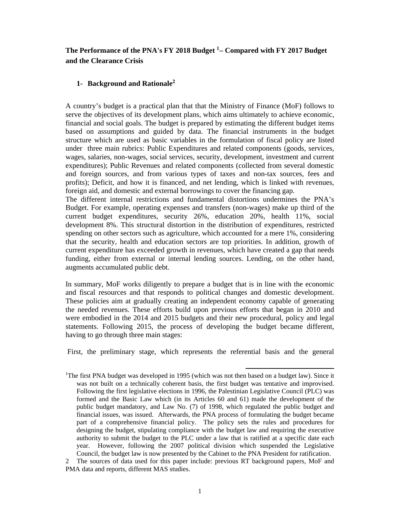## **The Performance of the PNA's FY 2018 Budget <sup>1</sup>– Compared with FY 2017 Budget and the Clearance Crisis**

#### **1- Background and Rationale<sup>2</sup>**

A country's budget is a practical plan that that the Ministry of Finance (MoF) follows to serve the objectives of its development plans, which aims ultimately to achieve economic, financial and social goals. The budget is prepared by estimating the different budget items based on assumptions and guided by data. The financial instruments in the budget structure which are used as basic variables in the formulation of fiscal policy are listed under three main rubrics: Public Expenditures and related components (goods, services, wages, salaries, non-wages, social services, security, development, investment and current expenditures); Public Revenues and related components (collected from several domestic and foreign sources, and from various types of taxes and non-tax sources, fees and profits); Deficit, and how it is financed, and net lending, which is linked with revenues, foreign aid, and domestic and external borrowings to cover the financing gap.

The different internal restrictions and fundamental distortions undermines the PNA's Budget. For example, operating expenses and transfers (non-wages) make up third of the current budget expenditures, security 26%, education 20%, health 11%, social development 8%. This structural distortion in the distribution of expenditures, restricted spending on other sectors such as agriculture, which accounted for a mere 1%, considering that the security, health and education sectors are top priorities. In addition, growth of current expenditure has exceeded growth in revenues, which have created a gap that needs funding, either from external or internal lending sources. Lending, on the other hand, augments accumulated public debt.

In summary, MoF works diligently to prepare a budget that is in line with the economic and fiscal resources and that responds to political changes and domestic development. These policies aim at gradually creating an independent economy capable of generating the needed revenues. These efforts build upon previous efforts that began in 2010 and were embodied in the 2014 and 2015 budgets and their new procedural, policy and legal statements. Following 2015, the process of developing the budget became different, having to go through three main stages:

First, the preliminary stage, which represents the referential basis and the general

<sup>1</sup>The first PNA budget was developed in 1995 (which was not then based on a budget law). Since it was not built on a technically coherent basis, the first budget was tentative and improvised. Following the first legislative elections in 1996, the Palestinian Legislative Council (PLC) was formed and the Basic Law which (in its Articles 60 and 61) made the development of the public budget mandatory, and Law No. (7) of 1998, which regulated the public budget and financial issues, was issued. Afterwards, the PNA process of formulating the budget became part of a comprehensive financial policy. The policy sets the rules and procedures for designing the budget, stipulating compliance with the budget law and requiring the executive authority to submit the budget to the PLC under a law that is ratified at a specific date each year. However, following the 2007 political division which suspended the Legislative Council, the budget law is now presented by the Cabinet to the PNA President for ratification.

2 The sources of data used for this paper include: previous RT background papers, MoF and PMA data and reports, different MAS studies.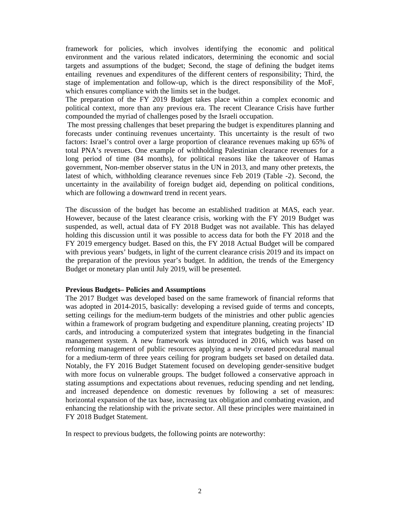framework for policies, which involves identifying the economic and political environment and the various related indicators, determining the economic and social targets and assumptions of the budget; Second, the stage of defining the budget items entailing revenues and expenditures of the different centers of responsibility; Third, the stage of implementation and follow-up, which is the direct responsibility of the MoF, which ensures compliance with the limits set in the budget.

The preparation of the FY 2019 Budget takes place within a complex economic and political context, more than any previous era. The recent Clearance Crisis have further compounded the myriad of challenges posed by the Israeli occupation.

 The most pressing challenges that beset preparing the budget is expenditures planning and forecasts under continuing revenues uncertainty. This uncertainty is the result of two factors: Israel's control over a large proportion of clearance revenues making up 65% of total PNA's revenues. One example of withholding Palestinian clearance revenues for a long period of time (84 months), for political reasons like the takeover of Hamas government, Non-member observer status in the UN in 2013, and many other pretexts, the latest of which, withholding clearance revenues since Feb 2019 (Table -2). Second, the uncertainty in the availability of foreign budget aid, depending on political conditions, which are following a downward trend in recent years.

The discussion of the budget has become an established tradition at MAS, each year. However, because of the latest clearance crisis, working with the FY 2019 Budget was suspended, as well, actual data of FY 2018 Budget was not available. This has delayed holding this discussion until it was possible to access data for both the FY 2018 and the FY 2019 emergency budget. Based on this, the FY 2018 Actual Budget will be compared with previous years' budgets, in light of the current clearance crisis 2019 and its impact on the preparation of the previous year's budget. In addition, the trends of the Emergency Budget or monetary plan until July 2019, will be presented.

#### **Previous Budgets– Policies and Assumptions**

The 2017 Budget was developed based on the same framework of financial reforms that was adopted in 2014-2015, basically: developing a revised guide of terms and concepts, setting ceilings for the medium-term budgets of the ministries and other public agencies within a framework of program budgeting and expenditure planning, creating projects' ID cards, and introducing a computerized system that integrates budgeting in the financial management system. A new framework was introduced in 2016, which was based on reforming management of public resources applying a newly created procedural manual for a medium-term of three years ceiling for program budgets set based on detailed data. Notably, the FY 2016 Budget Statement focused on developing gender-sensitive budget with more focus on vulnerable groups. The budget followed a conservative approach in stating assumptions and expectations about revenues, reducing spending and net lending, and increased dependence on domestic revenues by following a set of measures: horizontal expansion of the tax base, increasing tax obligation and combating evasion, and enhancing the relationship with the private sector. All these principles were maintained in FY 2018 Budget Statement.

In respect to previous budgets, the following points are noteworthy: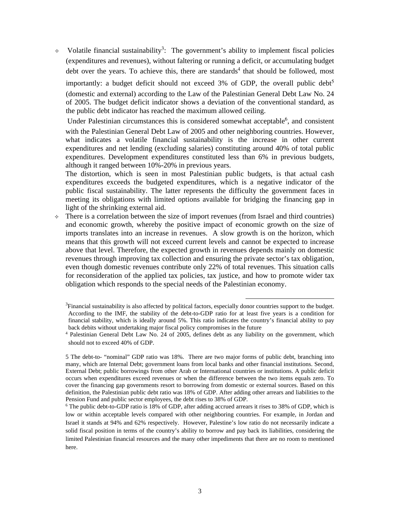$\sim$  Volatile financial sustainability<sup>3</sup>: The government's ability to implement fiscal policies (expenditures and revenues), without faltering or running a deficit, or accumulating budget debt over the years. To achieve this, there are standards<sup>4</sup> that should be followed, most importantly: a budget deficit should not exceed  $3\%$  of GDP, the overall public debt<sup>5</sup> (domestic and external) according to the Law of the Palestinian General Debt Law No. 24 of 2005. The budget deficit indicator shows a deviation of the conventional standard, as the public debt indicator has reached the maximum allowed ceiling.

Under Palestinian circumstances this is considered somewhat acceptable<sup>6</sup>, and consistent with the Palestinian General Debt Law of 2005 and other neighboring countries. However, what indicates a volatile financial sustainability is the increase in other current expenditures and net lending (excluding salaries) constituting around 40% of total public expenditures. Development expenditures constituted less than 6% in previous budgets, although it ranged between 10%-20% in previous years.

The distortion, which is seen in most Palestinian public budgets, is that actual cash expenditures exceeds the budgeted expenditures, which is a negative indicator of the public fiscal sustainability. The latter represents the difficulty the government faces in meeting its obligations with limited options available for bridging the financing gap in light of the shrinking external aid.

 $\Diamond$  There is a correlation between the size of import revenues (from Israel and third countries) and economic growth, whereby the positive impact of economic growth on the size of imports translates into an increase in revenues. A slow growth is on the horizon, which means that this growth will not exceed current levels and cannot be expected to increase above that level. Therefore, the expected growth in revenues depends mainly on domestic revenues through improving tax collection and ensuring the private sector's tax obligation, even though domestic revenues contribute only 22% of total revenues. This situation calls for reconsideration of the applied tax policies, tax justice, and how to promote wider tax obligation which responds to the special needs of the Palestinian economy.

 ${}^{3}$ Financial sustainability is also affected by political factors, especially donor countries support to the budget. According to the IMF, the stability of the debt-to-GDP ratio for at least five years is a condition for financial stability, which is ideally around 5%. This ratio indicates the country's financial ability to pay back debits without undertaking major fiscal policy compromises in the future 4

<sup>&</sup>lt;sup>4</sup> Palestinian General Debt Law No. 24 of 2005, defines debt as any liability on the government, which should not to exceed 40% of GDP.

<sup>5</sup> The debt-to- "nominal" GDP ratio was 18%. There are two major forms of public debt, branching into many, which are Internal Debt; government loans from local banks and other financial institutions. Second, External Debt; public borrowings from other Arab or International countries or institutions. A public deficit occurs when expenditures exceed revenues or when the difference between the two items equals zero. To cover the financing gap governments resort to borrowing from domestic or external sources. Based on this definition, the Palestinian public debt ratio was 18% of GDP. After adding other arrears and liabilities to the Pension Fund and public sector employees, the debt rises to 38% of GDP.

<sup>&</sup>lt;sup>6</sup> The public debt-to-GDP ratio is 18% of GDP, after adding accrued arrears it rises to 38% of GDP, which is low or within acceptable levels compared with other neighboring countries. For example, in Jordan and Israel it stands at 94% and 62% respectively. However, Palestine's low ratio do not necessarily indicate a solid fiscal position in terms of the country's ability to borrow and pay back its liabilities, considering the limited Palestinian financial resources and the many other impediments that there are no room to mentioned here.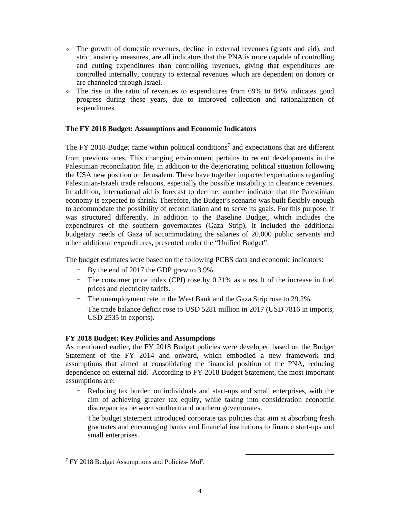- $\div$  The growth of domestic revenues, decline in external revenues (grants and aid), and strict austerity measures, are all indicators that the PNA is more capable of controlling and cutting expenditures than controlling revenues, giving that expenditures are controlled internally, contrary to external revenues which are dependent on donors or are channeled through Israel.
- $\div$  The rise in the ratio of revenues to expenditures from 69% to 84% indicates good progress during these years, due to improved collection and rationalization of expenditures.

#### **The FY 2018 Budget: Assumptions and Economic Indicators**

The FY 2018 Budget came within political conditions<sup>7</sup> and expectations that are different

from previous ones. This changing environment pertains to recent developments in the Palestinian reconciliation file, in addition to the deteriorating political situation following the USA new position on Jerusalem. These have together impacted expectations regarding Palestinian-Israeli trade relations, especially the possible instability in clearance revenues. In addition, international aid is forecast to decline, another indicator that the Palestinian economy is expected to shrink. Therefore, the Budget's scenario was built flexibly enough to accommodate the possibility of reconciliation and to serve its goals. For this purpose, it was structured differently. In addition to the Baseline Budget, which includes the expenditures of the southern governorates (Gaza Strip), it included the additional budgetary needs of Gaza of accommodating the salaries of 20,000 public servants and other additional expenditures, presented under the "Unified Budget".

The budget estimates were based on the following PCBS data and economic indicators:

- By the end of 2017 the GDP grew to 3.9%.
- The consumer price index (CPI) rose by 0.21% as a result of the increase in fuel prices and electricity tariffs.
- The unemployment rate in the West Bank and the Gaza Strip rose to 29.2%.
- The trade balance deficit rose to USD 5281 million in 2017 (USD 7816 in imports, USD 2535 in exports).

#### **FY 2018 Budget: Key Policies and Assumptions**

As mentioned earlier, the FY 2018 Budget policies were developed based on the Budget Statement of the FY 2014 and onward, which embodied a new framework and assumptions that aimed at consolidating the financial position of the PNA, reducing dependence on external aid. According to FY 2018 Budget Statement, the most important assumptions are:

- Reducing tax burden on individuals and start-ups and small enterprises, with the aim of achieving greater tax equity, while taking into consideration economic discrepancies between southern and northern governorates.
- The budget statement introduced corporate tax policies that aim at absorbing fresh graduates and encouraging banks and financial institutions to finance start-ups and small enterprises.

<sup>&</sup>lt;sup>7</sup> FY 2018 Budget Assumptions and Policies-MoF.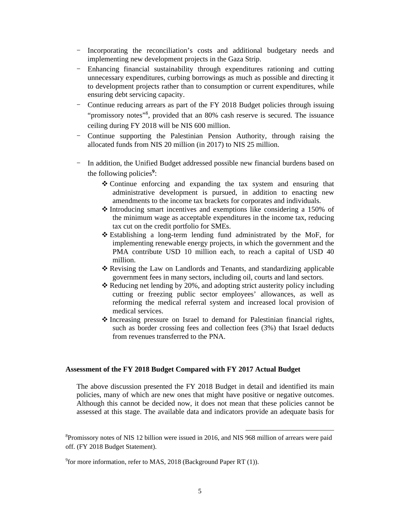- Incorporating the reconciliation's costs and additional budgetary needs and implementing new development projects in the Gaza Strip.
- Enhancing financial sustainability through expenditures rationing and cutting unnecessary expenditures, curbing borrowings as much as possible and directing it to development projects rather than to consumption or current expenditures, while ensuring debt servicing capacity.
- Continue reducing arrears as part of the FY 2018 Budget policies through issuing "promissory notes"<sup>8</sup>, provided that an 80% cash reserve is secured. The issuance ceiling during FY 2018 will be NIS 600 million.
- Continue supporting the Palestinian Pension Authority, through raising the allocated funds from NIS 20 million (in 2017) to NIS 25 million.
- In addition, the Unified Budget addressed possible new financial burdens based on the following policies**<sup>9</sup>**:
	- Continue enforcing and expanding the tax system and ensuring that administrative development is pursued, in addition to enacting new amendments to the income tax brackets for corporates and individuals.
	- $\triangle$  Introducing smart incentives and exemptions like considering a 150% of the minimum wage as acceptable expenditures in the income tax, reducing tax cut on the credit portfolio for SMEs.
	- Establishing a long-term lending fund administrated by the MoF, for implementing renewable energy projects, in which the government and the PMA contribute USD 10 million each, to reach a capital of USD 40 million.
	- Revising the Law on Landlords and Tenants, and standardizing applicable government fees in many sectors, including oil, courts and land sectors.
	- $\triangle$  Reducing net lending by 20%, and adopting strict austerity policy including cutting or freezing public sector employees' allowances, as well as reforming the medical referral system and increased local provision of medical services.
	- Increasing pressure on Israel to demand for Palestinian financial rights, such as border crossing fees and collection fees (3%) that Israel deducts from revenues transferred to the PNA.

#### **Assessment of the FY 2018 Budget Compared with FY 2017 Actual Budget**

The above discussion presented the FY 2018 Budget in detail and identified its main policies, many of which are new ones that might have positive or negative outcomes. Although this cannot be decided now, it does not mean that these policies cannot be assessed at this stage. The available data and indicators provide an adequate basis for

<sup>&</sup>lt;sup>8</sup>Promissory notes of NIS 12 billion were issued in 2016, and NIS 968 million of arrears were paid off. (FY 2018 Budget Statement).

<sup>&</sup>lt;sup>9</sup> for more information, refer to MAS, 2018 (Background Paper RT (1)).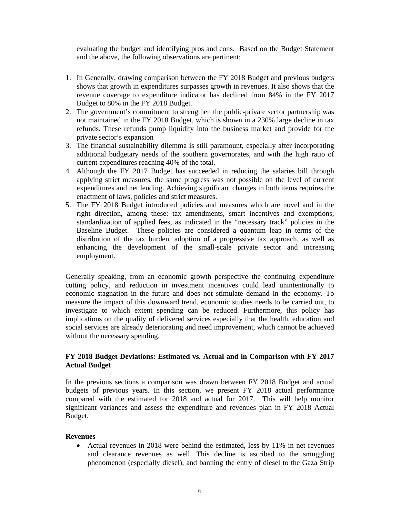evaluating the budget and identifying pros and cons. Based on the Budget Statement and the above, the following observations are pertinent:

- 1. In Generally, drawing comparison between the FY 2018 Budget and previous budgets shows that growth in expenditures surpasses growth in revenues. It also shows that the revenue coverage to expenditure indicator has declined from 84% in the FY 2017 Budget to 80% in the FY 2018 Budget.
- 2. The government's commitment to strengthen the public-private sector partnership was not maintained in the FY 2018 Budget, which is shown in a 230% large decline in tax refunds. These refunds pump liquidity into the business market and provide for the private sector's expansion
- 3. The financial sustainability dilemma is still paramount, especially after incorporating additional budgetary needs of the southern governorates, and with the high ratio of current expenditures reaching 40% of the total.
- 4. Although the FY 2017 Budget has succeeded in reducing the salaries bill through applying strict measures, the same progress was not possible on the level of current expenditures and net lending. Achieving significant changes in both items requires the enactment of laws, policies and strict measures.
- 5. The FY 2018 Budget introduced policies and measures which are novel and in the right direction, among these: tax amendments, smart incentives and exemptions, standardization of applied fees, as indicated in the "necessary track" policies in the Baseline Budget. These policies are considered a quantum leap in terms of the distribution of the tax burden, adoption of a progressive tax approach, as well as enhancing the development of the small-scale private sector and increasing employment.

Generally speaking, from an economic growth perspective the continuing expenditure cutting policy, and reduction in investment incentives could lead unintentionally to economic stagnation in the future and does not stimulate demand in the economy. To measure the impact of this downward trend, economic studies needs to be carried out, to investigate to which extent spending can be reduced. Furthermore, this policy has implications on the quality of delivered services especially that the health, education and social services are already deteriorating and need improvement, which cannot be achieved without the necessary spending.

#### **FY 2018 Budget Deviations: Estimated vs. Actual and in Comparison with FY 2017 Actual Budget**

In the previous sections a comparison was drawn between FY 2018 Budget and actual budgets of previous years. In this section, we present FY 2018 actual performance compared with the estimated for 2018 and actual for 2017. This will help monitor significant variances and assess the expenditure and revenues plan in FY 2018 Actual Budget.

#### **Revenues**

 Actual revenues in 2018 were behind the estimated, less by 11% in net revenues and clearance revenues as well. This decline is ascribed to the smuggling phenomenon (especially diesel), and banning the entry of diesel to the Gaza Strip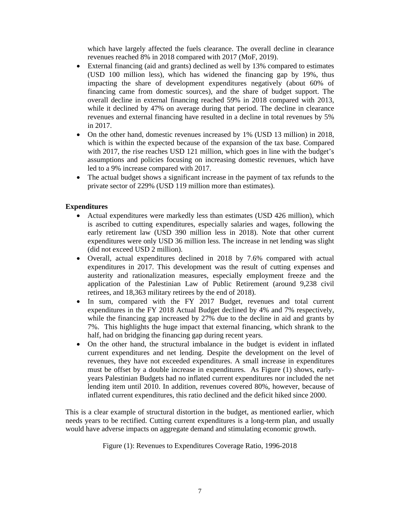which have largely affected the fuels clearance. The overall decline in clearance revenues reached 8% in 2018 compared with 2017 (MoF, 2019).

- External financing (aid and grants) declined as well by 13% compared to estimates (USD 100 million less), which has widened the financing gap by 19%, thus impacting the share of development expenditures negatively (about 60% of financing came from domestic sources), and the share of budget support. The overall decline in external financing reached 59% in 2018 compared with 2013, while it declined by 47% on average during that period. The decline in clearance revenues and external financing have resulted in a decline in total revenues by 5% in 2017.
- On the other hand, domestic revenues increased by 1% (USD 13 million) in 2018, which is within the expected because of the expansion of the tax base. Compared with 2017, the rise reaches USD 121 million, which goes in line with the budget's assumptions and policies focusing on increasing domestic revenues, which have led to a 9% increase compared with 2017.
- The actual budget shows a significant increase in the payment of tax refunds to the private sector of 229% (USD 119 million more than estimates).

## **Expenditures**

- Actual expenditures were markedly less than estimates (USD 426 million), which is ascribed to cutting expenditures, especially salaries and wages, following the early retirement law (USD 390 million less in 2018). Note that other current expenditures were only USD 36 million less. The increase in net lending was slight (did not exceed USD 2 million).
- Overall, actual expenditures declined in 2018 by 7.6% compared with actual expenditures in 2017. This development was the result of cutting expenses and austerity and rationalization measures, especially employment freeze and the application of the Palestinian Law of Public Retirement (around 9,238 civil retirees, and 18,363 military retirees by the end of 2018).
- In sum, compared with the FY 2017 Budget, revenues and total current expenditures in the FY 2018 Actual Budget declined by 4% and 7% respectively, while the financing gap increased by 27% due to the decline in aid and grants by 7%. This highlights the huge impact that external financing, which shrank to the half, had on bridging the financing gap during recent years.
- On the other hand, the structural imbalance in the budget is evident in inflated current expenditures and net lending. Despite the development on the level of revenues, they have not exceeded expenditures. A small increase in expenditures must be offset by a double increase in expenditures. As Figure (1) shows, earlyyears Palestinian Budgets had no inflated current expenditures nor included the net lending item until 2010. In addition, revenues covered 80%, however, because of inflated current expenditures, this ratio declined and the deficit hiked since 2000.

This is a clear example of structural distortion in the budget, as mentioned earlier, which needs years to be rectified. Cutting current expenditures is a long-term plan, and usually would have adverse impacts on aggregate demand and stimulating economic growth.

Figure (1): Revenues to Expenditures Coverage Ratio, 1996-2018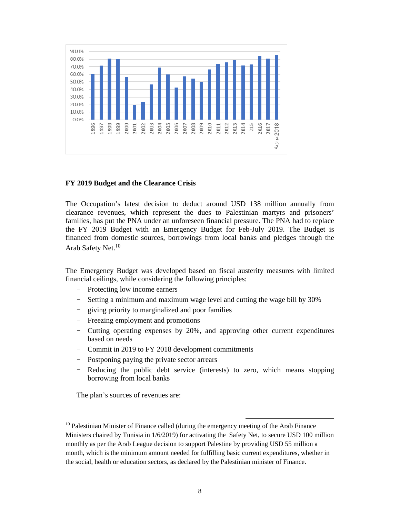

#### **FY 2019 Budget and the Clearance Crisis**

The Occupation's latest decision to deduct around USD 138 million annually from clearance revenues, which represent the dues to Palestinian martyrs and prisoners' families, has put the PNA under an unforeseen financial pressure. The PNA had to replace the FY 2019 Budget with an Emergency Budget for Feb-July 2019. The Budget is financed from domestic sources, borrowings from local banks and pledges through the Arab Safety Net.<sup>10</sup>

The Emergency Budget was developed based on fiscal austerity measures with limited financial ceilings, while considering the following principles:

- Protecting low income earners
- Setting a minimum and maximum wage level and cutting the wage bill by 30%
- giving priority to marginalized and poor families
- Freezing employment and promotions
- Cutting operating expenses by 20%, and approving other current expenditures based on needs
- Commit in 2019 to FY 2018 development commitments
- Postponing paying the private sector arrears
- Reducing the public debt service (interests) to zero, which means stopping borrowing from local banks

The plan's sources of revenues are:

<sup>&</sup>lt;sup>10</sup> Palestinian Minister of Finance called (during the emergency meeting of the Arab Finance Ministers chaired by Tunisia in 1/6/2019) for activating the Safety Net, to secure USD 100 million monthly as per the Arab League decision to support Palestine by providing USD 55 million a month, which is the minimum amount needed for fulfilling basic current expenditures, whether in the social, health or education sectors, as declared by the Palestinian minister of Finance.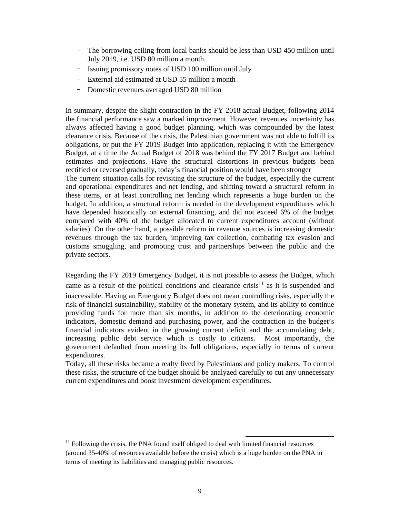- The borrowing ceiling from local banks should be less than USD 450 million until July 2019, i.e. USD 80 million a month.
- Issuing promissory notes of USD 100 million until July
- External aid estimated at USD 55 million a month
- Domestic revenues averaged USD 80 million

In summary, despite the slight contraction in the FY 2018 actual Budget, following 2014 the financial performance saw a marked improvement. However, revenues uncertainty has always affected having a good budget planning, which was compounded by the latest clearance crisis. Because of the crisis, the Palestinian government was not able to fulfill its obligations, or put the FY 2019 Budget into application, replacing it with the Emergency Budget, at a time the Actual Budget of 2018 was behind the FY 2017 Budget and behind estimates and projections. Have the structural distortions in previous budgets been rectified or reversed gradually, today's financial position would have been stronger

The current situation calls for revisiting the structure of the budget, especially the current and operational expenditures and net lending, and shifting toward a structural reform in these items, or at least controlling net lending which represents a huge burden on the budget. In addition, a structural reform is needed in the development expenditures which have depended historically on external financing, and did not exceed 6% of the budget compared with 40% of the budget allocated to current expenditures account (without salaries). On the other hand, a possible reform in revenue sources is increasing domestic revenues through the tax burden, improving tax collection, combating tax evasion and customs smuggling, and promoting trust and partnerships between the public and the private sectors.

Regarding the FY 2019 Emergency Budget, it is not possible to assess the Budget, which came as a result of the political conditions and clearance crisis<sup>11</sup> as it is suspended and inaccessible. Having an Emergency Budget does not mean controlling risks, especially the risk of financial sustainability, stability of the monetary system, and its ability to continue providing funds for more than six months, in addition to the deteriorating economic indicators, domestic demand and purchasing power, and the contraction in the budget's financial indicators evident in the growing current deficit and the accumulating debt, increasing public debt service which is costly to citizens. Most importantly, the government defaulted from meeting its full obligations, especially in terms of current expenditures.

Today, all these risks became a realty lived by Palestinians and policy makers. To control these risks, the structure of the budget should be analyzed carefully to cut any unnecessary current expenditures and boost investment development expenditures.

 $<sup>11</sup>$  Following the crisis, the PNA found itself obliged to deal with limited financial resources</sup> (around 35-40% of resources available before the crisis) which is a huge burden on the PNA in terms of meeting its liabilities and managing public resources.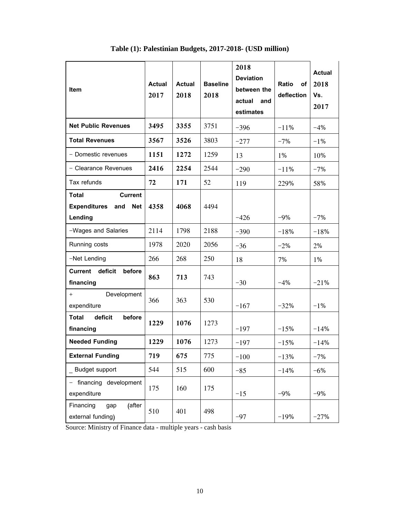| Item                                                                           | <b>Actual</b><br>2017 | <b>Actual</b><br>2018 | <b>Baseline</b><br>2018 | 2018<br><b>Deviation</b><br>between the<br>actual<br>and<br>estimates | Ratio<br>of<br>deflection | <b>Actual</b><br>2018<br>Vs.<br>2017 |
|--------------------------------------------------------------------------------|-----------------------|-----------------------|-------------------------|-----------------------------------------------------------------------|---------------------------|--------------------------------------|
| <b>Net Public Revenues</b>                                                     | 3495                  | 3355                  | 3751                    | $-396$                                                                | $-11%$                    | $-4%$                                |
| <b>Total Revenues</b>                                                          | 3567                  | 3526                  | 3803                    | $-277$                                                                | $-7%$                     | $-1%$                                |
| - Domestic revenues                                                            | 1151                  | 1272                  | 1259                    | 13                                                                    | 1%                        | 10%                                  |
| - Clearance Revenues                                                           | 2416                  | 2254                  | 2544                    | $-290$                                                                | $-11%$                    | $-7%$                                |
| Tax refunds                                                                    | 72                    | 171                   | 52                      | 119                                                                   | 229%                      | 58%                                  |
| <b>Total</b><br>Current<br><b>Expenditures</b><br>and<br><b>Net</b><br>Lending | 4358                  | 4068                  | 4494                    | $-426$                                                                | $-9%$                     | $-7%$                                |
| -Wages and Salaries                                                            | 2114                  | 1798                  | 2188                    | $-390$                                                                | $-18%$                    | $-18%$                               |
| Running costs                                                                  | 1978                  | 2020                  | 2056                    | $-36$                                                                 | $-2%$                     | 2%                                   |
| -Net Lending                                                                   | 266                   | 268                   | 250                     | 18                                                                    | 7%                        | 1%                                   |
| Current deficit<br>before<br>financing                                         | 863                   | 713                   | 743                     | $-30$                                                                 | $-4%$                     | $-21%$                               |
| Development<br>$\overline{+}$<br>expenditure                                   | 366                   | 363                   | 530                     | $-167$                                                                | $-32%$                    | $-1%$                                |
| <b>Total</b><br>deficit<br>before<br>financing                                 | 1229                  | 1076                  | 1273                    | $-197$                                                                | $-15%$                    | $-14%$                               |
| <b>Needed Funding</b>                                                          | 1229                  | 1076                  | 1273                    | $-197$                                                                | $-15%$                    | $-14%$                               |
| <b>External Funding</b>                                                        | 719                   | 675                   | 775                     | $-100$                                                                | $-13%$                    | $-7%$                                |
| <b>Budget support</b>                                                          | 544                   | 515                   | 600                     | $-85$                                                                 | $-14%$                    | $-6%$                                |
| financing development<br>expenditure                                           | 175                   | 160                   | 175                     | $-15$                                                                 | $-9%$                     | $-9%$                                |
| Financing<br>(after<br>gap<br>external funding)                                | 510                   | 401                   | 498                     | $-97$                                                                 | $-19%$                    | $-27%$                               |

**Table (1): Palestinian Budgets, 2017-2018- (USD million)** 

 $\mathbf{r}$ 

Source: Ministry of Finance data - multiple years - cash basis